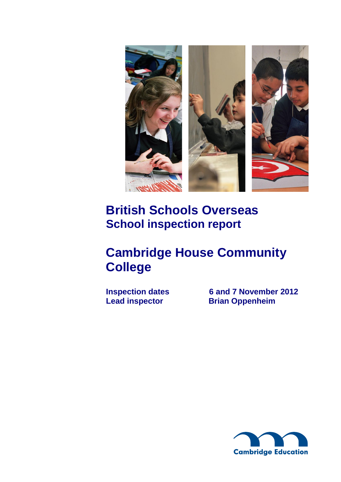

# **British Schools Overseas School inspection report**

# **Cambridge House Community College**

**Inspection dates 6 and 7 November 2012**<br> **Lead inspector Brian Oppenheim Brian Oppenheim** 

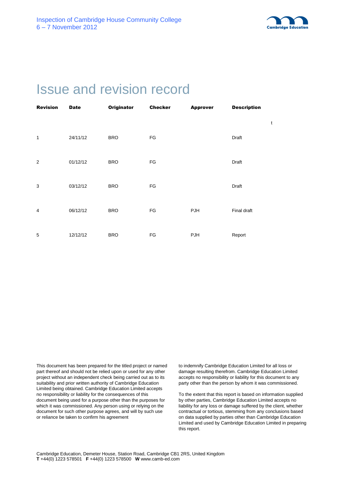

# Issue and revision record

| <b>Revision</b> | <b>Date</b> | <b>Originator</b> | <b>Checker</b> | <b>Approver</b> | <b>Description</b> |   |  |
|-----------------|-------------|-------------------|----------------|-----------------|--------------------|---|--|
|                 |             |                   |                |                 |                    | t |  |
| $\mathbf{1}$    | 24/11/12    | <b>BRO</b>        | FG             |                 | Draft              |   |  |
| 2               | 01/12/12    | <b>BRO</b>        | $\mathsf{FG}$  |                 | Draft              |   |  |
| 3               | 03/12/12    | <b>BRO</b>        | $\mathsf{FG}$  |                 | Draft              |   |  |
| 4               | 06/12/12    | <b>BRO</b>        | FG             | PJH             | Final draft        |   |  |
| 5               | 12/12/12    | <b>BRO</b>        | FG             | PJH             | Report             |   |  |

This document has been prepared for the titled project or named part thereof and should not be relied upon or used for any other project without an independent check being carried out as to its suitability and prior written authority of Cambridge Education Limited being obtained. Cambridge Education Limited accepts no responsibility or liability for the consequences of this document being used for a purpose other than the purposes for which it was commissioned. Any person using or relying on the document for such other purpose agrees, and will by such use or reliance be taken to confirm his agreement

to indemnify Cambridge Education Limited for all loss or damage resulting therefrom. Cambridge Education Limited accepts no responsibility or liability for this document to any party other than the person by whom it was commissioned.

To the extent that this report is based on information supplied by other parties, Cambridge Education Limited accepts no liability for any loss or damage suffered by the client, whether contractual or tortious, stemming from any conclusions based on data supplied by parties other than Cambridge Education Limited and used by Cambridge Education Limited in preparing this report.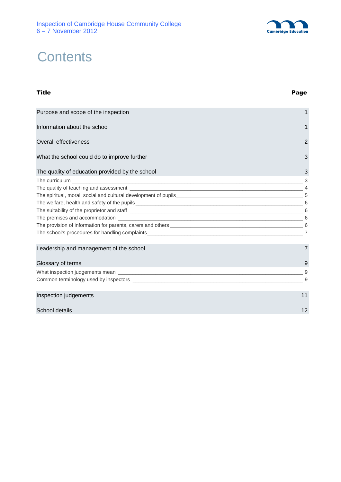

# **Contents**

## Title Page Purpose and scope of the inspection 1 and 1 and 1 and 1 and 1 and 1 and 1 and 1 and 1 and 1 and 1 and 1 and 1 and 1 and 1 and 1 and 1 and 1 and 1 and 1 and 1 and 1 and 1 and 1 and 1 and 1 and 1 and 1 and 1 and 1 and 1 and Information about the school 1 and 1 and 1 and 1 and 1 and 1 and 1 and 1 and 1 and 1 and 1 and 1 and 1 and 1 and 1 and 1 and 1 and 1 and 1 and 1 and 1 and 1 and 1 and 1 and 1 and 1 and 1 and 1 and 1 and 1 and 1 and 1 and 1 Overall effectiveness 2 What the school could do to improve further 3 The quality of education provided by the school 3 The curriculum  $\sim$  3 The quality of teaching and assessment \_\_\_\_\_\_\_\_\_\_\_\_\_\_\_\_\_\_\_\_\_\_\_\_\_\_\_\_\_\_\_\_\_\_\_\_\_\_\_\_\_\_\_\_\_\_\_\_\_\_\_\_\_\_\_\_\_\_\_\_ 4 The spiritual, moral, social and cultural development of pupils\_\_\_\_\_\_\_\_\_\_\_\_\_\_\_\_\_\_\_\_\_\_\_\_\_\_\_\_\_\_\_\_\_\_\_\_\_\_\_\_\_\_\_\_ 5 The welfare, health and safety of the pupils \_\_\_\_\_\_\_\_\_\_\_\_\_\_\_\_\_\_\_\_\_\_\_\_\_\_\_\_\_\_\_\_\_\_\_\_\_\_\_\_\_\_\_\_\_\_\_\_\_\_\_\_\_\_\_\_\_\_ 6 The suitability of the proprietor and staff  $\sim$ The premises and accommodation \_\_\_\_\_\_\_\_\_\_\_\_\_\_\_\_\_\_\_\_\_\_\_\_\_\_\_\_\_\_\_\_\_\_\_\_\_\_\_\_\_\_\_\_\_\_\_\_\_\_\_\_\_\_\_\_\_\_\_\_\_\_\_\_ 6 The provision of information for parents, carers and others \_\_\_\_\_\_\_\_\_\_\_\_\_\_\_\_\_\_\_\_\_\_\_\_\_\_\_\_\_\_\_\_\_\_\_\_\_\_\_\_\_\_\_\_\_\_ 6 The school's procedures for handling complaints\_\_\_\_\_\_\_\_\_\_\_\_\_\_\_\_\_\_\_\_\_\_\_\_\_\_\_\_\_\_\_\_\_\_\_\_\_\_\_\_\_\_\_\_\_\_\_\_\_\_\_\_\_\_ 7 Leadership and management of the school 7 and 7 and 7 and 7 and 7 and 7 and 7 and 7 and 7 and 7 and 7 and 7 and 7 and 7 and 7 and 7 and 7 and 7 and 7 and 7 and 7 and 7 and 7 and 7 and 7 and 7 and 7 and 7 and 7 and 7 and 7 Glossary of terms **9** What inspection judgements mean \_\_\_\_\_\_\_\_\_\_\_\_\_\_\_\_\_\_\_\_\_\_\_\_\_\_\_\_\_\_\_\_\_\_\_\_\_\_\_\_\_\_\_\_\_\_\_\_\_\_\_\_\_\_\_\_\_\_\_\_\_\_\_\_ 9 Common terminology used by inspectors **Exercise 20** and the set of the set of the set of the set of the set of the set of the set of the set of the set of the set of the set of the set of the set of the set of the set of t **Inspection judgements** 11 and the contract of the contract of the contract of the contract of the contract of the contract of the contract of the contract of the contract of the contract of the contract of the contract of School details **12**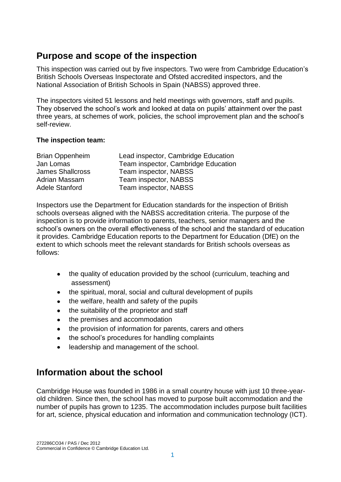## **Purpose and scope of the inspection**

This inspection was carried out by five inspectors. Two were from Cambridge Education's British Schools Overseas Inspectorate and Ofsted accredited inspectors, and the National Association of British Schools in Spain (NABSS) approved three.

The inspectors visited 51 lessons and held meetings with governors, staff and pupils. They observed the school's work and looked at data on pupils' attainment over the past three years, at schemes of work, policies, the school improvement plan and the school's self-review.

#### **The inspection team:**

| <b>Brian Oppenheim</b>  | Lead inspector, Cambridge Education |
|-------------------------|-------------------------------------|
| Jan Lomas               | Team inspector, Cambridge Education |
| <b>James Shallcross</b> | Team inspector, NABSS               |
| Adrian Massam           | Team inspector, NABSS               |
| Adele Stanford          | Team inspector, NABSS               |

Inspectors use the Department for Education standards for the inspection of British schools overseas aligned with the NABSS accreditation criteria. The purpose of the inspection is to provide information to parents, teachers, senior managers and the school's owners on the overall effectiveness of the school and the standard of education it provides. Cambridge Education reports to the Department for Education (DfE) on the extent to which schools meet the relevant standards for British schools overseas as follows:

- the quality of education provided by the school (curriculum, teaching and assessment)
- the spiritual, moral, social and cultural development of pupils
- the welfare, health and safety of the pupils
- the suitability of the proprietor and staff
- the premises and accommodation
- the provision of information for parents, carers and others
- the school's procedures for handling complaints
- leadership and management of the school.

## **Information about the school**

Cambridge House was founded in 1986 in a small country house with just 10 three-yearold children. Since then, the school has moved to purpose built accommodation and the number of pupils has grown to 1235. The accommodation includes purpose built facilities for art, science, physical education and information and communication technology (ICT).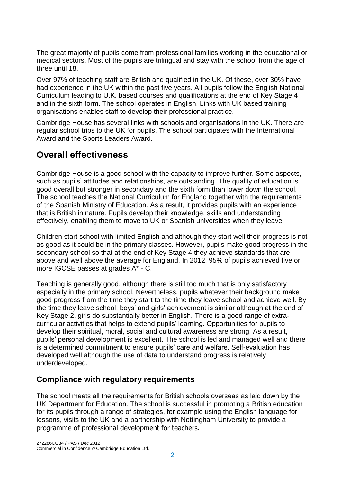The great majority of pupils come from professional families working in the educational or medical sectors. Most of the pupils are trilingual and stay with the school from the age of three until 18.

Over 97% of teaching staff are British and qualified in the UK. Of these, over 30% have had experience in the UK within the past five years. All pupils follow the English National Curriculum leading to U.K. based courses and qualifications at the end of Key Stage 4 and in the sixth form. The school operates in English. Links with UK based training organisations enables staff to develop their professional practice.

Cambridge House has several links with schools and organisations in the UK. There are regular school trips to the UK for pupils. The school participates with the International Award and the Sports Leaders Award.

## **Overall effectiveness**

Cambridge House is a good school with the capacity to improve further. Some aspects, such as pupils' attitudes and relationships, are outstanding. The quality of education is good overall but stronger in secondary and the sixth form than lower down the school. The school teaches the National Curriculum for England together with the requirements of the Spanish Ministry of Education. As a result, it provides pupils with an experience that is British in nature. Pupils develop their knowledge, skills and understanding effectively, enabling them to move to UK or Spanish universities when they leave.

Children start school with limited English and although they start well their progress is not as good as it could be in the primary classes. However, pupils make good progress in the secondary school so that at the end of Key Stage 4 they achieve standards that are above and well above the average for England. In 2012, 95% of pupils achieved five or more IGCSE passes at grades A\* - C.

Teaching is generally good, although there is still too much that is only satisfactory especially in the primary school. Nevertheless, pupils whatever their background make good progress from the time they start to the time they leave school and achieve well. By the time they leave school, boys' and girls' achievement is similar although at the end of Key Stage 2, girls do substantially better in English. There is a good range of extracurricular activities that helps to extend pupils' learning. Opportunities for pupils to develop their spiritual, moral, social and cultural awareness are strong. As a result, pupils' personal development is excellent. The school is led and managed well and there is a determined commitment to ensure pupils' care and welfare. Self-evaluation has developed well although the use of data to understand progress is relatively underdeveloped.

## **Compliance with regulatory requirements**

The school meets all the requirements for British schools overseas as laid down by the UK Department for Education. The school is successful in promoting a British education for its pupils through a range of strategies, for example using the English language for lessons, visits to the UK and a partnership with Nottingham University to provide a programme of professional development for teachers.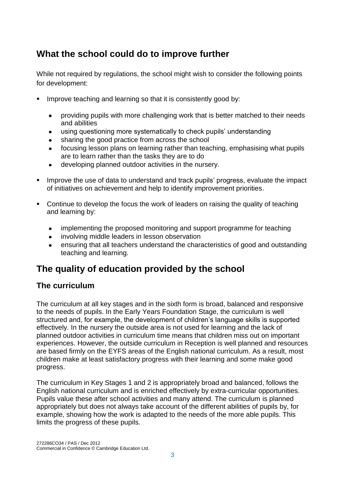## **What the school could do to improve further**

While not required by regulations, the school might wish to consider the following points for development:

- **IMPROVE 1995 Improve teaching and learning so that it is consistently good by:** 
	- providing pupils with more challenging work that is better matched to their needs and abilities
	- using questioning more systematically to check pupils' understanding
	- sharing the good practice from across the school
	- focusing lesson plans on learning rather than teaching, emphasising what pupils are to learn rather than the tasks they are to do
	- developing planned outdoor activities in the nursery.  $\bullet$
- **IMPROVE the use of data to understand and track pupils' progress, evaluate the impact** of initiatives on achievement and help to identify improvement priorities.
- Continue to develop the focus the work of leaders on raising the quality of teaching and learning by:
	- implementing the proposed monitoring and support programme for teaching
	- involving middle leaders in lesson observation
	- ensuring that all teachers understand the characteristics of good and outstanding  $\bullet$ teaching and learning.

## **The quality of education provided by the school**

## **The curriculum**

The curriculum at all key stages and in the sixth form is broad, balanced and responsive to the needs of pupils. In the Early Years Foundation Stage, the curriculum is well structured and, for example, the development of children's language skills is supported effectively. In the nursery the outside area is not used for learning and the lack of planned outdoor activities in curriculum time means that children miss out on important experiences. However, the outside curriculum in Reception is well planned and resources are based firmly on the EYFS areas of the English national curriculum. As a result, most children make at least satisfactory progress with their learning and some make good progress.

The curriculum in Key Stages 1 and 2 is appropriately broad and balanced, follows the English national curriculum and is enriched effectively by extra-curricular opportunities. Pupils value these after school activities and many attend. The curriculum is planned appropriately but does not always take account of the different abilities of pupils by, for example, showing how the work is adapted to the needs of the more able pupils. This limits the progress of these pupils.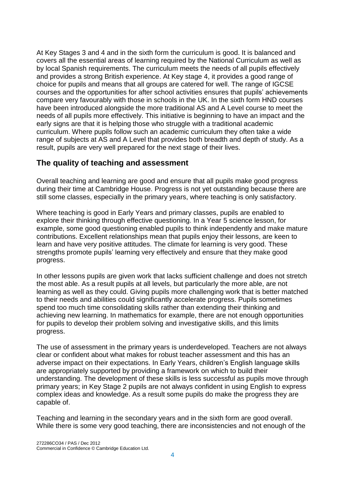At Key Stages 3 and 4 and in the sixth form the curriculum is good. It is balanced and covers all the essential areas of learning required by the National Curriculum as well as by local Spanish requirements. The curriculum meets the needs of all pupils effectively and provides a strong British experience. At Key stage 4, it provides a good range of choice for pupils and means that all groups are catered for well. The range of IGCSE courses and the opportunities for after school activities ensures that pupils' achievements compare very favourably with those in schools in the UK. In the sixth form HND courses have been introduced alongside the more traditional AS and A Level course to meet the needs of all pupils more effectively. This initiative is beginning to have an impact and the early signs are that it is helping those who struggle with a traditional academic curriculum. Where pupils follow such an academic curriculum they often take a wide range of subjects at AS and A Level that provides both breadth and depth of study. As a result, pupils are very well prepared for the next stage of their lives.

### **The quality of teaching and assessment**

Overall teaching and learning are good and ensure that all pupils make good progress during their time at Cambridge House. Progress is not yet outstanding because there are still some classes, especially in the primary years, where teaching is only satisfactory.

Where teaching is good in Early Years and primary classes, pupils are enabled to explore their thinking through effective questioning. In a Year 5 science lesson, for example, some good questioning enabled pupils to think independently and make mature contributions. Excellent relationships mean that pupils enjoy their lessons, are keen to learn and have very positive attitudes. The climate for learning is very good. These strengths promote pupils' learning very effectively and ensure that they make good progress.

In other lessons pupils are given work that lacks sufficient challenge and does not stretch the most able. As a result pupils at all levels, but particularly the more able, are not learning as well as they could. Giving pupils more challenging work that is better matched to their needs and abilities could significantly accelerate progress. Pupils sometimes spend too much time consolidating skills rather than extending their thinking and achieving new learning. In mathematics for example, there are not enough opportunities for pupils to develop their problem solving and investigative skills, and this limits progress.

The use of assessment in the primary years is underdeveloped. Teachers are not always clear or confident about what makes for robust teacher assessment and this has an adverse impact on their expectations. In Early Years, children's English language skills are appropriately supported by providing a framework on which to build their understanding. The development of these skills is less successful as pupils move through primary years; in Key Stage 2 pupils are not always confident in using English to express complex ideas and knowledge. As a result some pupils do make the progress they are capable of.

Teaching and learning in the secondary years and in the sixth form are good overall. While there is some very good teaching, there are inconsistencies and not enough of the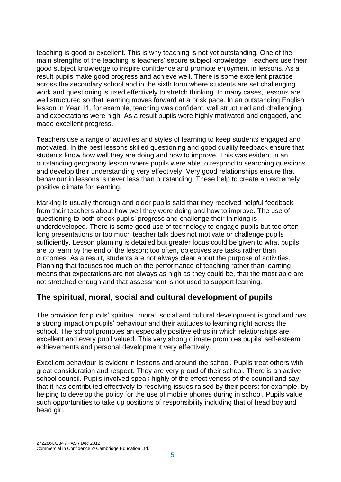teaching is good or excellent. This is why teaching is not yet outstanding. One of the main strengths of the teaching is teachers' secure subject knowledge. Teachers use their good subject knowledge to inspire confidence and promote enjoyment in lessons. As a result pupils make good progress and achieve well. There is some excellent practice across the secondary school and in the sixth form where students are set challenging work and questioning is used effectively to stretch thinking. In many cases, lessons are well structured so that learning moves forward at a brisk pace. In an outstanding English lesson in Year 11, for example, teaching was confident, well structured and challenging, and expectations were high. As a result pupils were highly motivated and engaged, and made excellent progress.

Teachers use a range of activities and styles of learning to keep students engaged and motivated. In the best lessons skilled questioning and good quality feedback ensure that students know how well they are doing and how to improve. This was evident in an outstanding geography lesson where pupils were able to respond to searching questions and develop their understanding very effectively. Very good relationships ensure that behaviour in lessons is never less than outstanding. These help to create an extremely positive climate for learning.

Marking is usually thorough and older pupils said that they received helpful feedback from their teachers about how well they were doing and how to improve. The use of questioning to both check pupils' progress and challenge their thinking is underdeveloped. There is some good use of technology to engage pupils but too often long presentations or too much teacher talk does not motivate or challenge pupils sufficiently. Lesson planning is detailed but greater focus could be given to what pupils are to learn by the end of the lesson: too often, objectives are tasks rather than outcomes. As a result, students are not always clear about the purpose of activities. Planning that focuses too much on the performance of teaching rather than learning means that expectations are not always as high as they could be, that the most able are not stretched enough and that assessment is not used to support learning.

### **The spiritual, moral, social and cultural development of pupils**

The provision for pupils' spiritual, moral, social and cultural development is good and has a strong impact on pupils' behaviour and their attitudes to learning right across the school. The school promotes an especially positive ethos in which relationships are excellent and every pupil valued. This very strong climate promotes pupils' self-esteem, achievements and personal development very effectively.

Excellent behaviour is evident in lessons and around the school. Pupils treat others with great consideration and respect. They are very proud of their school. There is an active school council. Pupils involved speak highly of the effectiveness of the council and say that it has contributed effectively to resolving issues raised by their peers: for example, by helping to develop the policy for the use of mobile phones during in school. Pupils value such opportunities to take up positions of responsibility including that of head boy and head girl.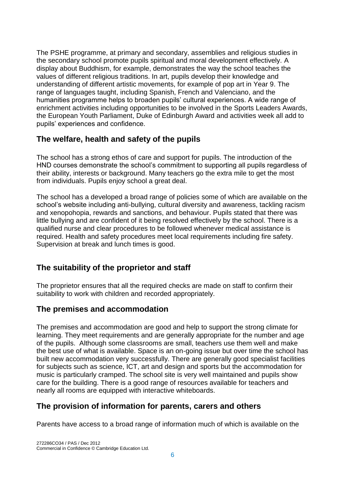The PSHE programme, at primary and secondary, assemblies and religious studies in the secondary school promote pupils spiritual and moral development effectively. A display about Buddhism, for example, demonstrates the way the school teaches the values of different religious traditions. In art, pupils develop their knowledge and understanding of different artistic movements, for example of pop art in Year 9. The range of languages taught, including Spanish, French and Valenciano, and the humanities programme helps to broaden pupils' cultural experiences. A wide range of enrichment activities including opportunities to be involved in the Sports Leaders Awards, the European Youth Parliament, Duke of Edinburgh Award and activities week all add to pupils' experiences and confidence.

### **The welfare, health and safety of the pupils**

The school has a strong ethos of care and support for pupils. The introduction of the HND courses demonstrate the school's commitment to supporting all pupils regardless of their ability, interests or background. Many teachers go the extra mile to get the most from individuals. Pupils enjoy school a great deal.

The school has a developed a broad range of policies some of which are available on the school's website including anti-bullying, cultural diversity and awareness, tackling racism and xenopohopia, rewards and sanctions, and behaviour. Pupils stated that there was little bullying and are confident of it being resolved effectively by the school. There is a qualified nurse and clear procedures to be followed whenever medical assistance is required. Health and safety procedures meet local requirements including fire safety. Supervision at break and lunch times is good.

## **The suitability of the proprietor and staff**

The proprietor ensures that all the required checks are made on staff to confirm their suitability to work with children and recorded appropriately.

### **The premises and accommodation**

The premises and accommodation are good and help to support the strong climate for learning. They meet requirements and are generally appropriate for the number and age of the pupils. Although some classrooms are small, teachers use them well and make the best use of what is available. Space is an on-going issue but over time the school has built new accommodation very successfully. There are generally good specialist facilities for subjects such as science, ICT, art and design and sports but the accommodation for music is particularly cramped. The school site is very well maintained and pupils show care for the building. There is a good range of resources available for teachers and nearly all rooms are equipped with interactive whiteboards.

### **The provision of information for parents, carers and others**

Parents have access to a broad range of information much of which is available on the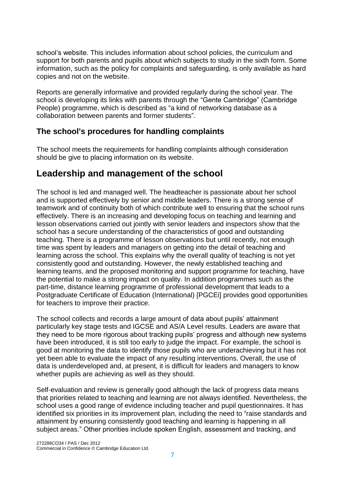school's website. This includes information about school policies, the curriculum and support for both parents and pupils about which subjects to study in the sixth form. Some information, such as the policy for complaints and safeguarding, is only available as hard copies and not on the website.

Reports are generally informative and provided regularly during the school year. The school is developing its links with parents through the "Gente Cambridge" (Cambridge People) programme, which is described as "a kind of networking database as a collaboration between parents and former students".

### **The school's procedures for handling complaints**

The school meets the requirements for handling complaints although consideration should be give to placing information on its website.

## **Leadership and management of the school**

The school is led and managed well. The headteacher is passionate about her school and is supported effectively by senior and middle leaders. There is a strong sense of teamwork and of continuity both of which contribute well to ensuring that the school runs effectively. There is an increasing and developing focus on teaching and learning and lesson observations carried out jointly with senior leaders and inspectors show that the school has a secure understanding of the characteristics of good and outstanding teaching. There is a programme of lesson observations but until recently, not enough time was spent by leaders and managers on getting into the detail of teaching and learning across the school. This explains why the overall quality of teaching is not yet consistently good and outstanding. However, the newly established teaching and learning teams, and the proposed monitoring and support programme for teaching, have the potential to make a strong impact on quality. In addition programmes such as the part-time, distance learning programme of professional development that leads to a Postgraduate Certificate of Education (International) [PGCEi] provides good opportunities for teachers to improve their practice.

The school collects and records a large amount of data about pupils' attainment particularly key stage tests and IGCSE and AS/A Level results. Leaders are aware that they need to be more rigorous about tracking pupils' progress and although new systems have been introduced, it is still too early to judge the impact. For example, the school is good at monitoring the data to identify those pupils who are underachieving but it has not yet been able to evaluate the impact of any resulting interventions. Overall, the use of data is underdeveloped and, at present, it is difficult for leaders and managers to know whether pupils are achieving as well as they should.

Self-evaluation and review is generally good although the lack of progress data means that priorities related to teaching and learning are not always identified. Nevertheless, the school uses a good range of evidence including teacher and pupil questionnaires. It has identified six priorities in its improvement plan, including the need to "raise standards and attainment by ensuring consistently good teaching and learning is happening in all subject areas." Other priorities include spoken English, assessment and tracking, and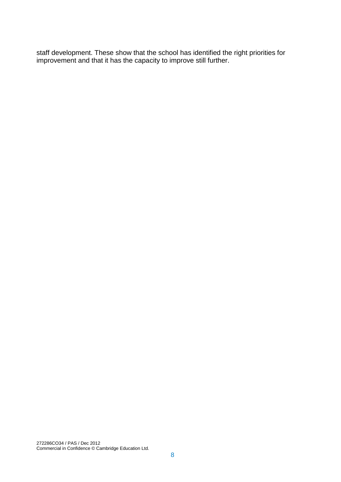staff development. These show that the school has identified the right priorities for improvement and that it has the capacity to improve still further.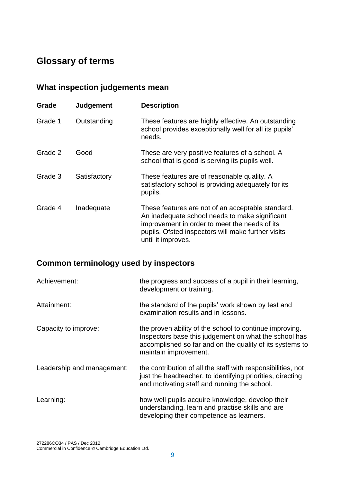## **Glossary of terms**

## **What inspection judgements mean**

| Grade   | Judgement    | <b>Description</b>                                                                                                                                                                                                               |
|---------|--------------|----------------------------------------------------------------------------------------------------------------------------------------------------------------------------------------------------------------------------------|
| Grade 1 | Outstanding  | These features are highly effective. An outstanding<br>school provides exceptionally well for all its pupils'<br>needs.                                                                                                          |
| Grade 2 | Good         | These are very positive features of a school. A<br>school that is good is serving its pupils well.                                                                                                                               |
| Grade 3 | Satisfactory | These features are of reasonable quality. A<br>satisfactory school is providing adequately for its<br>pupils.                                                                                                                    |
| Grade 4 | Inadequate   | These features are not of an acceptable standard.<br>An inadequate school needs to make significant<br>improvement in order to meet the needs of its<br>pupils. Ofsted inspectors will make further visits<br>until it improves. |

## **Common terminology used by inspectors**

| Achievement:               | the progress and success of a pupil in their learning,<br>development or training.                                                                                                                    |
|----------------------------|-------------------------------------------------------------------------------------------------------------------------------------------------------------------------------------------------------|
| Attainment:                | the standard of the pupils' work shown by test and<br>examination results and in lessons.                                                                                                             |
| Capacity to improve:       | the proven ability of the school to continue improving.<br>Inspectors base this judgement on what the school has<br>accomplished so far and on the quality of its systems to<br>maintain improvement. |
| Leadership and management: | the contribution of all the staff with responsibilities, not<br>just the headteacher, to identifying priorities, directing<br>and motivating staff and running the school.                            |
| Learning:                  | how well pupils acquire knowledge, develop their<br>understanding, learn and practise skills and are<br>developing their competence as learners.                                                      |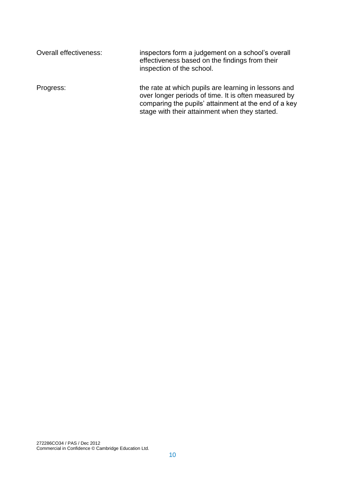| Overall effectiveness: | inspectors form a judgement on a school's overall<br>effectiveness based on the findings from their<br>inspection of the school.                                                                                       |
|------------------------|------------------------------------------------------------------------------------------------------------------------------------------------------------------------------------------------------------------------|
| Progress:              | the rate at which pupils are learning in lessons and<br>over longer periods of time. It is often measured by<br>comparing the pupils' attainment at the end of a key<br>stage with their attainment when they started. |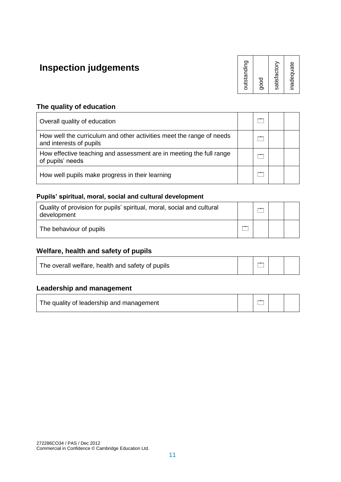## **Inspection judgements**

outstanding good satisfactory inadequate

#### **The quality of education**

| Overall quality of education                                                                    |  |  |
|-------------------------------------------------------------------------------------------------|--|--|
| How well the curriculum and other activities meet the range of needs<br>and interests of pupils |  |  |
| How effective teaching and assessment are in meeting the full range<br>of pupils' needs         |  |  |
| How well pupils make progress in their learning                                                 |  |  |

#### **Pupils' spiritual, moral, social and cultural development**

| Quality of provision for pupils' spiritual, moral, social and cultural<br>development |  |  |
|---------------------------------------------------------------------------------------|--|--|
| The behaviour of pupils                                                               |  |  |

#### **Welfare, health and safety of pupils**

| The overall welfare, health and safety of pupils | $\overline{\phantom{a}}$ |  |
|--------------------------------------------------|--------------------------|--|
|                                                  |                          |  |

#### **Leadership and management**

The quality of leadership and management  $\Box$